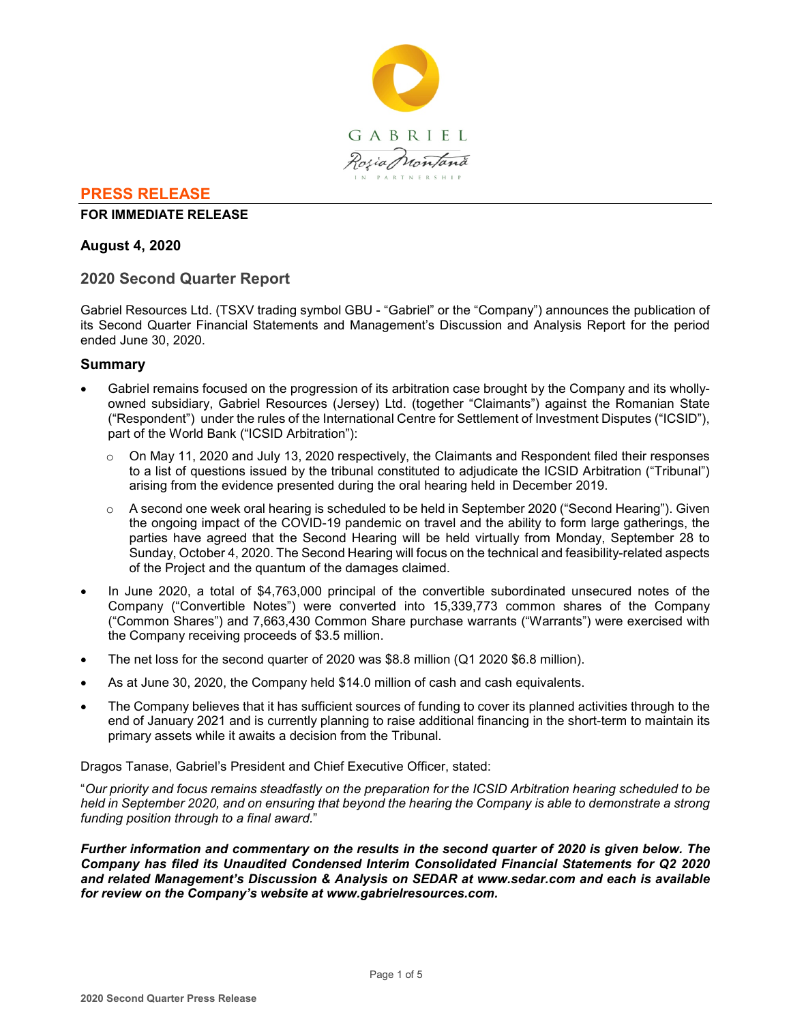

# **PRESS RELEASE**

#### **FOR IMMEDIATE RELEASE**

## **August 4, 2020**

## **2020 Second Quarter Report**

Gabriel Resources Ltd. (TSXV trading symbol GBU - "Gabriel" or the "Company") announces the publication of its Second Quarter Financial Statements and Management's Discussion and Analysis Report for the period ended June 30, 2020.

#### **Summary**

- Gabriel remains focused on the progression of its arbitration case brought by the Company and its whollyowned subsidiary, Gabriel Resources (Jersey) Ltd. (together "Claimants") against the Romanian State ("Respondent") under the rules of the International Centre for Settlement of Investment Disputes ("ICSID"), part of the World Bank ("ICSID Arbitration"):
	- $\circ$  On May 11, 2020 and July 13, 2020 respectively, the Claimants and Respondent filed their responses to a list of questions issued by the tribunal constituted to adjudicate the ICSID Arbitration ("Tribunal") arising from the evidence presented during the oral hearing held in December 2019.
	- o A second one week oral hearing is scheduled to be held in September 2020 ("Second Hearing"). Given the ongoing impact of the COVID-19 pandemic on travel and the ability to form large gatherings, the parties have agreed that the Second Hearing will be held virtually from Monday, September 28 to Sunday, October 4, 2020. The Second Hearing will focus on the technical and feasibility-related aspects of the Project and the quantum of the damages claimed.
- In June 2020, a total of \$4,763,000 principal of the convertible subordinated unsecured notes of the Company ("Convertible Notes") were converted into 15,339,773 common shares of the Company ("Common Shares") and 7,663,430 Common Share purchase warrants ("Warrants") were exercised with the Company receiving proceeds of \$3.5 million.
- The net loss for the second quarter of 2020 was \$8.8 million (Q1 2020 \$6.8 million).
- As at June 30, 2020, the Company held \$14.0 million of cash and cash equivalents.
- The Company believes that it has sufficient sources of funding to cover its planned activities through to the end of January 2021 and is currently planning to raise additional financing in the short-term to maintain its primary assets while it awaits a decision from the Tribunal.

Dragos Tanase, Gabriel's President and Chief Executive Officer, stated:

"*Our priority and focus remains steadfastly on the preparation for the ICSID Arbitration hearing scheduled to be held in September 2020, and on ensuring that beyond the hearing the Company is able to demonstrate a strong funding position through to a final award.*"

*Further information and commentary on the results in the second quarter of 2020 is given below. The Company has filed its Unaudited Condensed Interim Consolidated Financial Statements for Q2 2020 and related Management's Discussion & Analysis on SEDAR at www.sedar.com and each is available for review on the Company's website at www.gabrielresources.com.*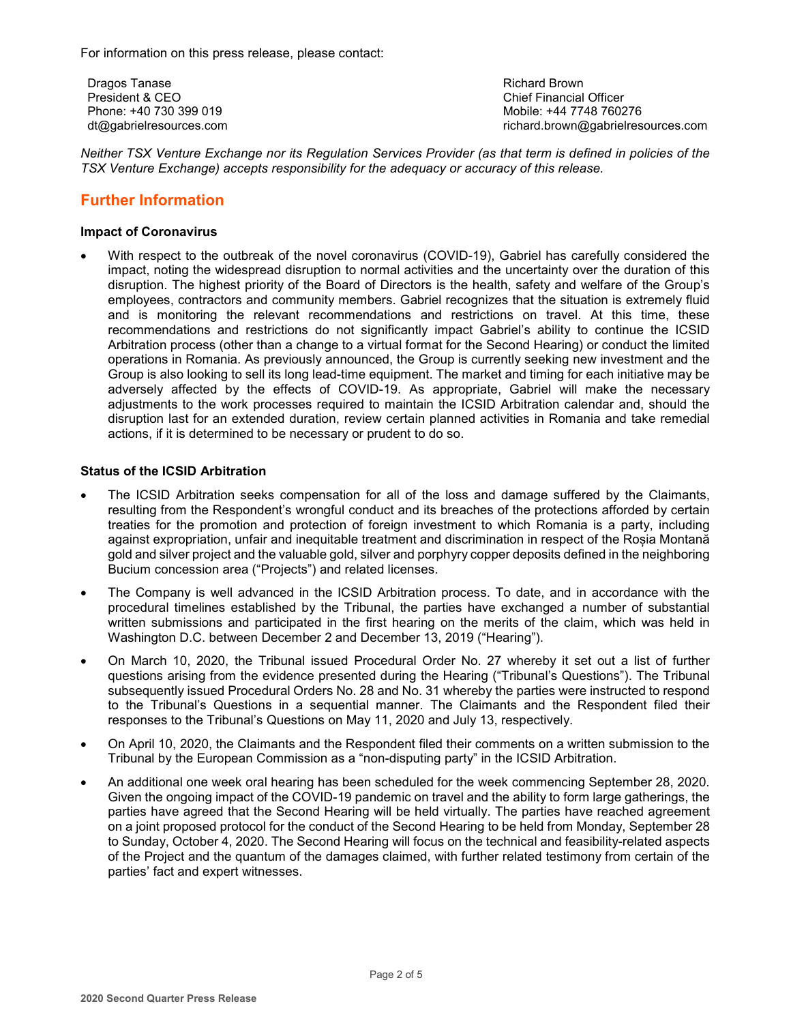For information on this press release, please contact:

Dragos Tanase President & CEO Phone: +40 730 399 019 dt@gabrielresources.com Richard Brown Chief Financial Officer Mobile: +44 7748 760276 richard.brown@gabrielresources.com

*Neither TSX Venture Exchange nor its Regulation Services Provider (as that term is defined in policies of the TSX Venture Exchange) accepts responsibility for the adequacy or accuracy of this release.*

# **Further Information**

#### **Impact of Coronavirus**

• With respect to the outbreak of the novel coronavirus (COVID-19), Gabriel has carefully considered the impact, noting the widespread disruption to normal activities and the uncertainty over the duration of this disruption. The highest priority of the Board of Directors is the health, safety and welfare of the Group's employees, contractors and community members. Gabriel recognizes that the situation is extremely fluid and is monitoring the relevant recommendations and restrictions on travel. At this time, these recommendations and restrictions do not significantly impact Gabriel's ability to continue the ICSID Arbitration process (other than a change to a virtual format for the Second Hearing) or conduct the limited operations in Romania. As previously announced, the Group is currently seeking new investment and the Group is also looking to sell its long lead-time equipment. The market and timing for each initiative may be adversely affected by the effects of COVID-19. As appropriate, Gabriel will make the necessary adjustments to the work processes required to maintain the ICSID Arbitration calendar and, should the disruption last for an extended duration, review certain planned activities in Romania and take remedial actions, if it is determined to be necessary or prudent to do so.

#### **Status of the ICSID Arbitration**

- The ICSID Arbitration seeks compensation for all of the loss and damage suffered by the Claimants, resulting from the Respondent's wrongful conduct and its breaches of the protections afforded by certain treaties for the promotion and protection of foreign investment to which Romania is a party, including against expropriation, unfair and inequitable treatment and discrimination in respect of the Roșia Montană gold and silver project and the valuable gold, silver and porphyry copper deposits defined in the neighboring Bucium concession area ("Projects") and related licenses.
- The Company is well advanced in the ICSID Arbitration process. To date, and in accordance with the procedural timelines established by the Tribunal, the parties have exchanged a number of substantial written submissions and participated in the first hearing on the merits of the claim, which was held in Washington D.C. between December 2 and December 13, 2019 ("Hearing").
- On March 10, 2020, the Tribunal issued Procedural Order No. 27 whereby it set out a list of further questions arising from the evidence presented during the Hearing ("Tribunal's Questions"). The Tribunal subsequently issued Procedural Orders No. 28 and No. 31 whereby the parties were instructed to respond to the Tribunal's Questions in a sequential manner. The Claimants and the Respondent filed their responses to the Tribunal's Questions on May 11, 2020 and July 13, respectively.
- On April 10, 2020, the Claimants and the Respondent filed their comments on a written submission to the Tribunal by the European Commission as a "non-disputing party" in the ICSID Arbitration.
- An additional one week oral hearing has been scheduled for the week commencing September 28, 2020. Given the ongoing impact of the COVID-19 pandemic on travel and the ability to form large gatherings, the parties have agreed that the Second Hearing will be held virtually. The parties have reached agreement on a joint proposed protocol for the conduct of the Second Hearing to be held from Monday, September 28 to Sunday, October 4, 2020. The Second Hearing will focus on the technical and feasibility-related aspects of the Project and the quantum of the damages claimed, with further related testimony from certain of the parties' fact and expert witnesses.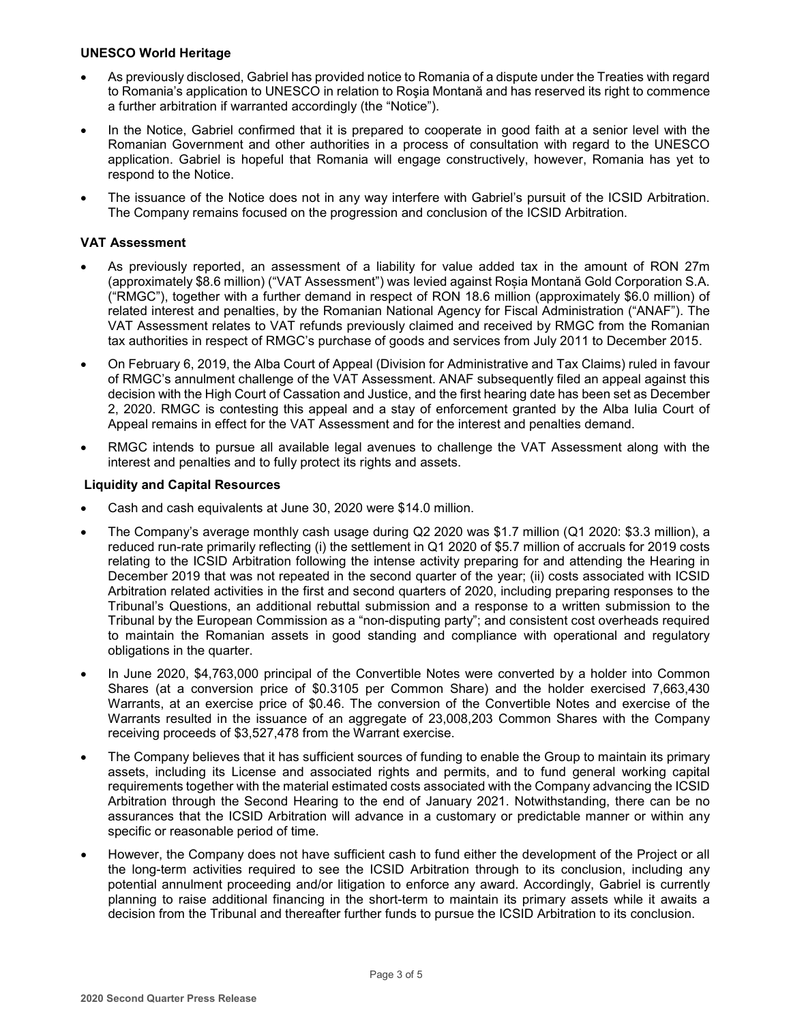#### **UNESCO World Heritage**

- As previously disclosed, Gabriel has provided notice to Romania of a dispute under the Treaties with regard to Romania's application to UNESCO in relation to Roşia Montană and has reserved its right to commence a further arbitration if warranted accordingly (the "Notice").
- In the Notice, Gabriel confirmed that it is prepared to cooperate in good faith at a senior level with the Romanian Government and other authorities in a process of consultation with regard to the UNESCO application. Gabriel is hopeful that Romania will engage constructively, however, Romania has yet to respond to the Notice.
- The issuance of the Notice does not in any way interfere with Gabriel's pursuit of the ICSID Arbitration. The Company remains focused on the progression and conclusion of the ICSID Arbitration.

## **VAT Assessment**

- As previously reported, an assessment of a liability for value added tax in the amount of RON 27m (approximately \$8.6 million) ("VAT Assessment") was levied against Roșia Montană Gold Corporation S.A. ("RMGC"), together with a further demand in respect of RON 18.6 million (approximately \$6.0 million) of related interest and penalties, by the Romanian National Agency for Fiscal Administration ("ANAF"). The VAT Assessment relates to VAT refunds previously claimed and received by RMGC from the Romanian tax authorities in respect of RMGC's purchase of goods and services from July 2011 to December 2015.
- On February 6, 2019, the Alba Court of Appeal (Division for Administrative and Tax Claims) ruled in favour of RMGC's annulment challenge of the VAT Assessment. ANAF subsequently filed an appeal against this decision with the High Court of Cassation and Justice, and the first hearing date has been set as December 2, 2020. RMGC is contesting this appeal and a stay of enforcement granted by the Alba Iulia Court of Appeal remains in effect for the VAT Assessment and for the interest and penalties demand.
- RMGC intends to pursue all available legal avenues to challenge the VAT Assessment along with the interest and penalties and to fully protect its rights and assets.

#### **Liquidity and Capital Resources**

- Cash and cash equivalents at June 30, 2020 were \$14.0 million.
- The Company's average monthly cash usage during Q2 2020 was \$1.7 million (Q1 2020: \$3.3 million), a reduced run-rate primarily reflecting (i) the settlement in Q1 2020 of \$5.7 million of accruals for 2019 costs relating to the ICSID Arbitration following the intense activity preparing for and attending the Hearing in December 2019 that was not repeated in the second quarter of the year; (ii) costs associated with ICSID Arbitration related activities in the first and second quarters of 2020, including preparing responses to the Tribunal's Questions, an additional rebuttal submission and a response to a written submission to the Tribunal by the European Commission as a "non-disputing party"; and consistent cost overheads required to maintain the Romanian assets in good standing and compliance with operational and regulatory obligations in the quarter.
- In June 2020, \$4,763,000 principal of the Convertible Notes were converted by a holder into Common Shares (at a conversion price of \$0.3105 per Common Share) and the holder exercised 7,663,430 Warrants, at an exercise price of \$0.46. The conversion of the Convertible Notes and exercise of the Warrants resulted in the issuance of an aggregate of 23,008,203 Common Shares with the Company receiving proceeds of \$3,527,478 from the Warrant exercise.
- The Company believes that it has sufficient sources of funding to enable the Group to maintain its primary assets, including its License and associated rights and permits, and to fund general working capital requirements together with the material estimated costs associated with the Company advancing the ICSID Arbitration through the Second Hearing to the end of January 2021. Notwithstanding, there can be no assurances that the ICSID Arbitration will advance in a customary or predictable manner or within any specific or reasonable period of time.
- However, the Company does not have sufficient cash to fund either the development of the Project or all the long-term activities required to see the ICSID Arbitration through to its conclusion, including any potential annulment proceeding and/or litigation to enforce any award. Accordingly, Gabriel is currently planning to raise additional financing in the short-term to maintain its primary assets while it awaits a decision from the Tribunal and thereafter further funds to pursue the ICSID Arbitration to its conclusion.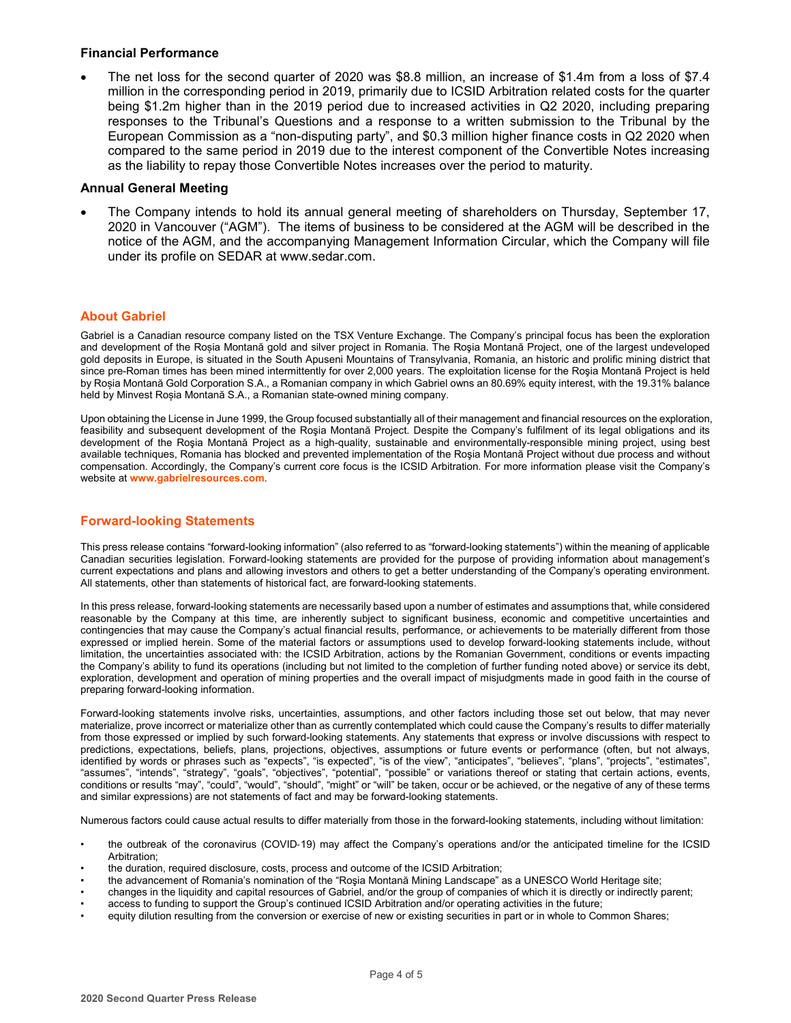#### **Financial Performance**

• The net loss for the second quarter of 2020 was \$8.8 million, an increase of \$1.4m from a loss of \$7.4 million in the corresponding period in 2019, primarily due to ICSID Arbitration related costs for the quarter being \$1.2m higher than in the 2019 period due to increased activities in Q2 2020, including preparing responses to the Tribunal's Questions and a response to a written submission to the Tribunal by the European Commission as a "non-disputing party", and \$0.3 million higher finance costs in Q2 2020 when compared to the same period in 2019 due to the interest component of the Convertible Notes increasing as the liability to repay those Convertible Notes increases over the period to maturity.

#### **Annual General Meeting**

• The Company intends to hold its annual general meeting of shareholders on Thursday, September 17, 2020 in Vancouver ("AGM"). The items of business to be considered at the AGM will be described in the notice of the AGM, and the accompanying Management Information Circular, which the Company will file under its profile on SEDAR at www.sedar.com.

#### **About Gabriel**

Gabriel is a Canadian resource company listed on the TSX Venture Exchange. The Company's principal focus has been the exploration and development of the Roșia Montană gold and silver project in Romania. The Roşia Montană Project, one of the largest undeveloped gold deposits in Europe, is situated in the South Apuseni Mountains of Transylvania, Romania, an historic and prolific mining district that since pre-Roman times has been mined intermittently for over 2,000 years. The exploitation license for the Roşia Montană Project is held by Roșia Montană Gold Corporation S.A., a Romanian company in which Gabriel owns an 80.69% equity interest, with the 19.31% balance held by Minvest Roșia Montană S.A., a Romanian state-owned mining company.

Upon obtaining the License in June 1999, the Group focused substantially all of their management and financial resources on the exploration, feasibility and subsequent development of the Roşia Montană Project. Despite the Company's fulfilment of its legal obligations and its development of the Roşia Montană Project as a high-quality, sustainable and environmentally-responsible mining project, using best available techniques, Romania has blocked and prevented implementation of the Roşia Montană Project without due process and without compensation. Accordingly, the Company's current core focus is the ICSID Arbitration. For more information please visit the Company's website at **www.gabrielresources.com**.

#### **Forward-looking Statements**

This press release contains "forward-looking information" (also referred to as "forward-looking statements") within the meaning of applicable Canadian securities legislation. Forward-looking statements are provided for the purpose of providing information about management's current expectations and plans and allowing investors and others to get a better understanding of the Company's operating environment. All statements, other than statements of historical fact, are forward-looking statements.

In this press release, forward-looking statements are necessarily based upon a number of estimates and assumptions that, while considered reasonable by the Company at this time, are inherently subject to significant business, economic and competitive uncertainties and contingencies that may cause the Company's actual financial results, performance, or achievements to be materially different from those expressed or implied herein. Some of the material factors or assumptions used to develop forward-looking statements include, without limitation, the uncertainties associated with: the ICSID Arbitration, actions by the Romanian Government, conditions or events impacting the Company's ability to fund its operations (including but not limited to the completion of further funding noted above) or service its debt, exploration, development and operation of mining properties and the overall impact of misjudgments made in good faith in the course of preparing forward-looking information.

Forward-looking statements involve risks, uncertainties, assumptions, and other factors including those set out below, that may never materialize, prove incorrect or materialize other than as currently contemplated which could cause the Company's results to differ materially from those expressed or implied by such forward-looking statements. Any statements that express or involve discussions with respect to predictions, expectations, beliefs, plans, projections, objectives, assumptions or future events or performance (often, but not always, identified by words or phrases such as "expects", "is expected", "is of the view", "anticipates", "believes", "plans", "projects", "estimates", "assumes", "intends", "strategy", "goals", "objectives", "potential", "possible" or variations thereof or stating that certain actions, events, conditions or results "may", "could", "would", "should", "might" or "will" be taken, occur or be achieved, or the negative of any of these terms and similar expressions) are not statements of fact and may be forward-looking statements.

Numerous factors could cause actual results to differ materially from those in the forward-looking statements, including without limitation:

- the outbreak of the coronavirus (COVID‐19) may affect the Company's operations and/or the anticipated timeline for the ICSID Arbitration;
- the duration, required disclosure, costs, process and outcome of the ICSID Arbitration;
- the advancement of Romania's nomination of the "Roşia Montană Mining Landscape" as a UNESCO World Heritage site;
- changes in the liquidity and capital resources of Gabriel, and/or the group of companies of which it is directly or indirectly parent;
- access to funding to support the Group's continued ICSID Arbitration and/or operating activities in the future;
- equity dilution resulting from the conversion or exercise of new or existing securities in part or in whole to Common Shares;